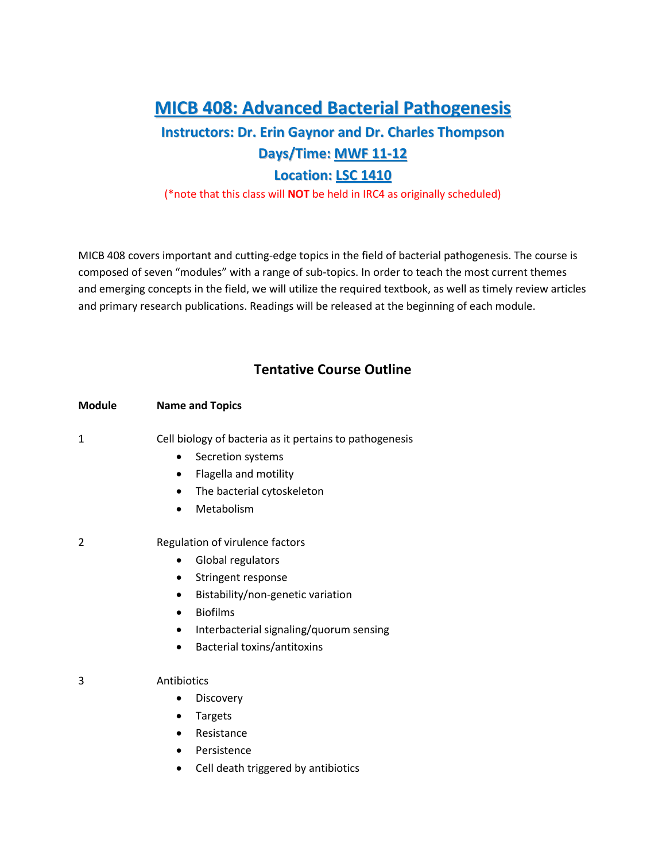## **MICB 408: Advanced Bacterial Pathogenesis**

# **Instructors: Dr. Erin Gaynor and Dr. Charles Thompson Days/Time: MWF 11-12**

#### **Location: LSC 1410**

(\*note that this class will **NOT** be held in IRC4 as originally scheduled)

MICB 408 covers important and cutting-edge topics in the field of bacterial pathogenesis. The course is composed of seven "modules" with a range of sub-topics. In order to teach the most current themes and emerging concepts in the field, we will utilize the required textbook, as well as timely review articles and primary research publications. Readings will be released at the beginning of each module.

### **Tentative Course Outline**

| <b>Module</b> | <b>Name and Topics</b>                                                                                                                                                                                                                                        |
|---------------|---------------------------------------------------------------------------------------------------------------------------------------------------------------------------------------------------------------------------------------------------------------|
| 1             | Cell biology of bacteria as it pertains to pathogenesis<br>Secretion systems<br>Flagella and motility<br>٠<br>The bacterial cytoskeleton<br>٠<br>Metabolism                                                                                                   |
| 2             | Regulation of virulence factors<br>Global regulators<br>Stringent response<br>٠<br>Bistability/non-genetic variation<br>٠<br><b>Biofilms</b><br>$\bullet$<br>Interbacterial signaling/quorum sensing<br>$\bullet$<br>Bacterial toxins/antitoxins<br>$\bullet$ |
| 3             | Antibiotics<br>Discovery<br><b>Targets</b><br>Resistance<br>$\bullet$<br>Persistence<br>$\bullet$<br>Cell death triggered by antibiotics                                                                                                                      |